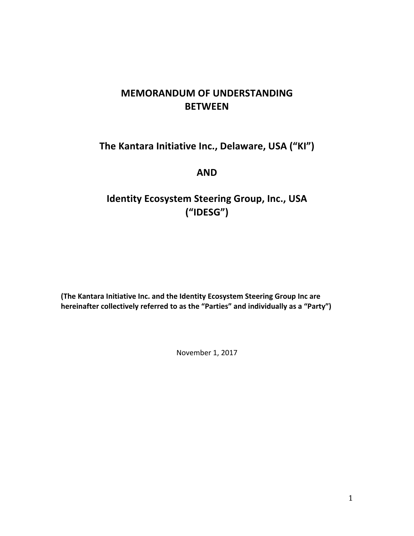# **MEMORANDUM OF UNDERSTANDING BETWEEN**

# **The Kantara Initiative Inc., Delaware, USA ("KI")**

# **AND**

# **Identity Ecosystem Steering Group, Inc., USA ("IDESG")**

**(The Kantara Initiative Inc. and the Identity Ecosystem Steering Group Inc are** hereinafter collectively referred to as the "Parties" and individually as a "Party")

November 1, 2017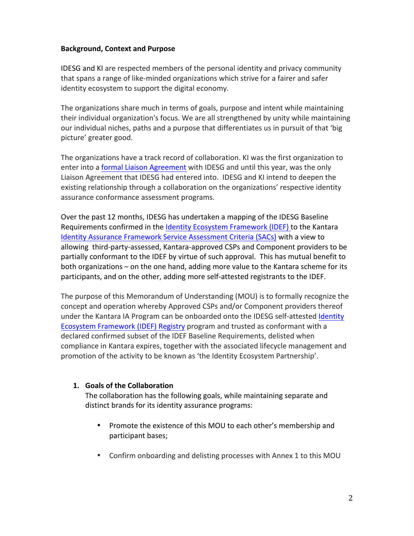#### **Background, Context and Purpose**

IDESG and KI are respected members of the personal identity and privacy community that spans a range of like-minded organizations which strive for a fairer and safer identity ecosystem to support the digital economy.

The organizations share much in terms of goals, purpose and intent while maintaining their individual organization's focus. We are all strengthened by unity while maintaining our individual niches, paths and a purpose that differentiates us in pursuit of that 'big picture' greater good.

The organizations have a track record of collaboration. KI was the first organization to enter into a formal Liaison Agreement with IDESG and until this year, was the only Liaison Agreement that IDESG had entered into. IDESG and KI intend to deepen the existing relationship through a collaboration on the organizations' respective identity assurance conformance assessment programs.

Over the past 12 months, IDESG has undertaken a mapping of the IDESG Baseline Requirements confirmed in the Identity Ecosystem Framework (IDEF) to the Kantara Identity Assurance Framework Service Assessment Criteria (SACs) with a view to allowing third-party-assessed, Kantara-approved CSPs and Component providers to be partially conformant to the IDEF by virtue of such approval. This has mutual benefit to both organizations – on the one hand, adding more value to the Kantara scheme for its participants, and on the other, adding more self-attested registrants to the IDEF.

The purpose of this Memorandum of Understanding (MOU) is to formally recognize the concept and operation whereby Approved CSPs and/or Component providers thereof under the Kantara IA Program can be onboarded onto the IDESG self-attested Identity Ecosystem Framework (IDEF) Registry program and trusted as conformant with a declared confirmed subset of the IDEF Baseline Requirements, delisted when compliance in Kantara expires, together with the associated lifecycle management and promotion of the activity to be known as 'the Identity Ecosystem Partnership'.

# **1. Goals of the Collaboration**

The collaboration has the following goals, while maintaining separate and distinct brands for its identity assurance programs:

- Promote the existence of this MOU to each other's membership and participant bases;
- Confirm onboarding and delisting processes with Annex 1 to this MOU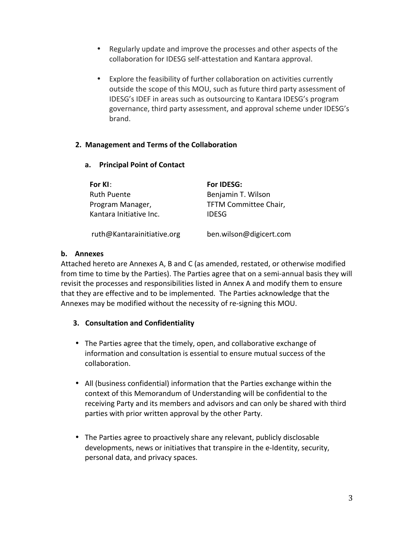- Regularly update and improve the processes and other aspects of the collaboration for IDESG self-attestation and Kantara approval.
- Explore the feasibility of further collaboration on activities currently outside the scope of this MOU, such as future third party assessment of IDESG's IDEF in areas such as outsourcing to Kantara IDESG's program governance, third party assessment, and approval scheme under IDESG's brand.

# **2. Management and Terms of the Collaboration**

**a. Principal Point of Contact**

| For KI:                    | For IDESG:              |
|----------------------------|-------------------------|
| <b>Ruth Puente</b>         | Benjamin T. Wilson      |
| Program Manager,           | TFTM Committee Chair,   |
| Kantara Initiative Inc.    | <b>IDESG</b>            |
| ruth@Kantarainitiative.org | ben.wilson@digicert.com |

# **b. Annexes**

Attached hereto are Annexes A, B and C (as amended, restated, or otherwise modified from time to time by the Parties). The Parties agree that on a semi-annual basis they will revisit the processes and responsibilities listed in Annex A and modify them to ensure that they are effective and to be implemented. The Parties acknowledge that the Annexes may be modified without the necessity of re-signing this MOU.

# **3. Consultation and Confidentiality**

- The Parties agree that the timely, open, and collaborative exchange of information and consultation is essential to ensure mutual success of the collaboration.
- All (business confidential) information that the Parties exchange within the context of this Memorandum of Understanding will be confidential to the receiving Party and its members and advisors and can only be shared with third parties with prior written approval by the other Party.
- The Parties agree to proactively share any relevant, publicly disclosable developments, news or initiatives that transpire in the e-Identity, security, personal data, and privacy spaces.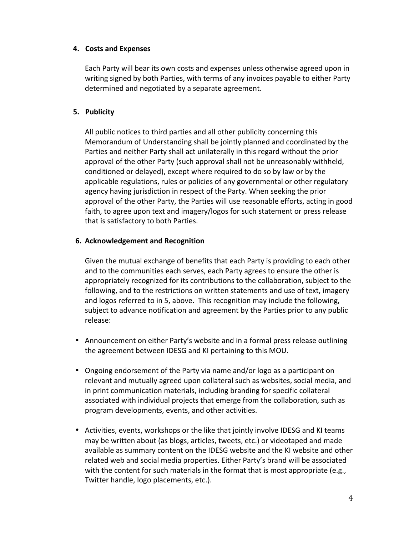#### **4. Costs and Expenses**

Each Party will bear its own costs and expenses unless otherwise agreed upon in writing signed by both Parties, with terms of any invoices payable to either Party determined and negotiated by a separate agreement.

# **5. Publicity**

All public notices to third parties and all other publicity concerning this Memorandum of Understanding shall be jointly planned and coordinated by the Parties and neither Party shall act unilaterally in this regard without the prior approval of the other Party (such approval shall not be unreasonably withheld, conditioned or delayed), except where required to do so by law or by the applicable regulations, rules or policies of any governmental or other regulatory agency having jurisdiction in respect of the Party. When seeking the prior approval of the other Party, the Parties will use reasonable efforts, acting in good faith, to agree upon text and imagery/logos for such statement or press release that is satisfactory to both Parties.

#### **6. Acknowledgement and Recognition**

Given the mutual exchange of benefits that each Party is providing to each other and to the communities each serves, each Party agrees to ensure the other is appropriately recognized for its contributions to the collaboration, subject to the following, and to the restrictions on written statements and use of text, imagery and logos referred to in 5, above. This recognition may include the following, subject to advance notification and agreement by the Parties prior to any public release:

- Announcement on either Party's website and in a formal press release outlining the agreement between IDESG and KI pertaining to this MOU.
- Ongoing endorsement of the Party via name and/or logo as a participant on relevant and mutually agreed upon collateral such as websites, social media, and in print communication materials, including branding for specific collateral associated with individual projects that emerge from the collaboration, such as program developments, events, and other activities.
- Activities, events, workshops or the like that jointly involve IDESG and KI teams may be written about (as blogs, articles, tweets, etc.) or videotaped and made available as summary content on the IDESG website and the KI website and other related web and social media properties. Either Party's brand will be associated with the content for such materials in the format that is most appropriate (e.g., Twitter handle, logo placements, etc.).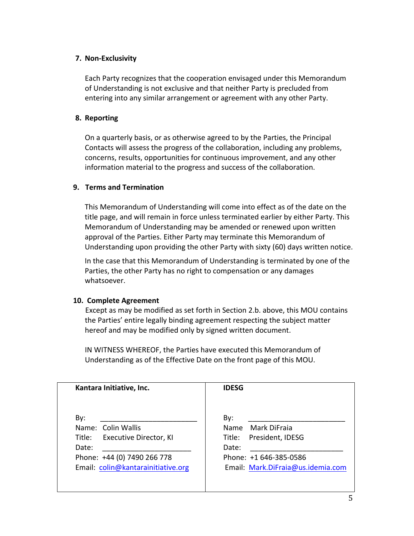#### **7. Non-Exclusivity**

Each Party recognizes that the cooperation envisaged under this Memorandum of Understanding is not exclusive and that neither Party is precluded from entering into any similar arrangement or agreement with any other Party.

#### **8. Reporting**

On a quarterly basis, or as otherwise agreed to by the Parties, the Principal Contacts will assess the progress of the collaboration, including any problems, concerns, results, opportunities for continuous improvement, and any other information material to the progress and success of the collaboration.

#### **9. Terms and Termination**

This Memorandum of Understanding will come into effect as of the date on the title page, and will remain in force unless terminated earlier by either Party. This Memorandum of Understanding may be amended or renewed upon written approval of the Parties. Either Party may terminate this Memorandum of Understanding upon providing the other Party with sixty (60) days written notice.

In the case that this Memorandum of Understanding is terminated by one of the Parties, the other Party has no right to compensation or any damages whatsoever.

#### **10. Complete Agreement**

Except as may be modified as set forth in Section 2.b. above, this MOU contains the Parties' entire legally binding agreement respecting the subject matter hereof and may be modified only by signed written document.

IN WITNESS WHEREOF, the Parties have executed this Memorandum of Understanding as of the Effective Date on the front page of this MOU.

| Kantara Initiative, Inc.                                                   | <b>IDESG</b>                                                         |
|----------------------------------------------------------------------------|----------------------------------------------------------------------|
| By:<br>Name: Colin Wallis<br>Executive Director, KI<br>Title:              | By:<br>Mark DiFraia<br>Name<br>President, IDESG<br>Title:            |
| Date:<br>Phone: +44 (0) 7490 266 778<br>Email: colin@kantarainitiative.org | Date:<br>Phone: +1 646-385-0586<br>Email: Mark.DiFraia@us.idemia.com |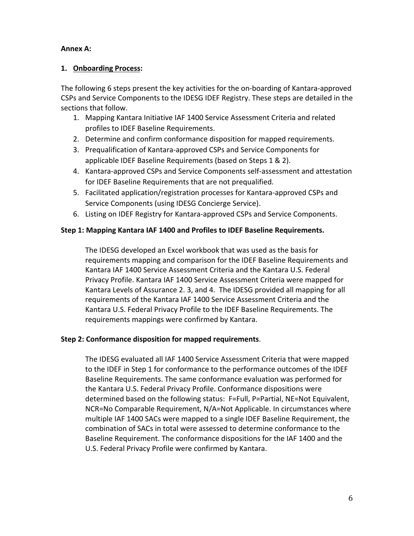#### Annex A:

#### **1. Onboarding Process:**

The following 6 steps present the key activities for the on-boarding of Kantara-approved CSPs and Service Components to the IDESG IDEF Registry. These steps are detailed in the sections that follow.

- 1. Mapping Kantara Initiative IAF 1400 Service Assessment Criteria and related profiles to IDEF Baseline Requirements.
- 2. Determine and confirm conformance disposition for mapped requirements.
- 3. Prequalification of Kantara-approved CSPs and Service Components for applicable IDEF Baseline Requirements (based on Steps 1 & 2).
- 4. Kantara-approved CSPs and Service Components self-assessment and attestation for IDEF Baseline Requirements that are not prequalified.
- 5. Facilitated application/registration processes for Kantara-approved CSPs and Service Components (using IDESG Concierge Service).
- 6. Listing on IDEF Registry for Kantara-approved CSPs and Service Components.

# Step 1: Mapping Kantara IAF 1400 and Profiles to IDEF Baseline Requirements.

The IDESG developed an Excel workbook that was used as the basis for requirements mapping and comparison for the IDEF Baseline Requirements and Kantara IAF 1400 Service Assessment Criteria and the Kantara U.S. Federal Privacy Profile. Kantara IAF 1400 Service Assessment Criteria were mapped for Kantara Levels of Assurance 2. 3, and 4. The IDESG provided all mapping for all requirements of the Kantara IAF 1400 Service Assessment Criteria and the Kantara U.S. Federal Privacy Profile to the IDEF Baseline Requirements. The requirements mappings were confirmed by Kantara.

# **Step 2: Conformance disposition for mapped requirements.**

The IDESG evaluated all IAF 1400 Service Assessment Criteria that were mapped to the IDEF in Step 1 for conformance to the performance outcomes of the IDEF Baseline Requirements. The same conformance evaluation was performed for the Kantara U.S. Federal Privacy Profile. Conformance dispositions were determined based on the following status: F=Full, P=Partial, NE=Not Equivalent, NCR=No Comparable Requirement, N/A=Not Applicable. In circumstances where multiple IAF 1400 SACs were mapped to a single IDEF Baseline Requirement, the combination of SACs in total were assessed to determine conformance to the Baseline Requirement. The conformance dispositions for the IAF 1400 and the U.S. Federal Privacy Profile were confirmed by Kantara.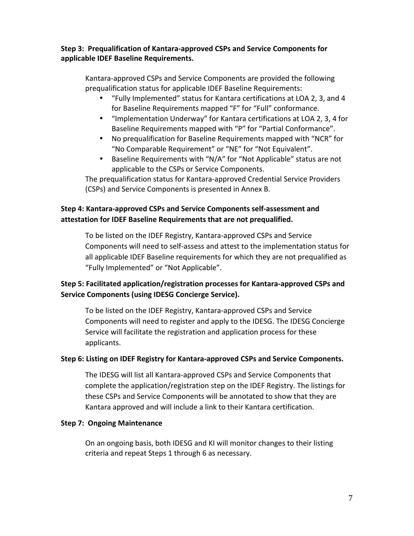# **Step 3: Prequalification of Kantara-approved CSPs and Service Components for applicable IDEF Baseline Requirements.**

Kantara-approved CSPs and Service Components are provided the following prequalification status for applicable IDEF Baseline Requirements:

- "Fully Implemented" status for Kantara certifications at LOA 2, 3, and 4 for Baseline Requirements mapped "F" for "Full" conformance.
- "Implementation Underway" for Kantara certifications at LOA 2, 3, 4 for Baseline Requirements mapped with "P" for "Partial Conformance".
- No prequalification for Baseline Requirements mapped with "NCR" for "No Comparable Requirement" or "NE" for "Not Equivalent".
- Baseline Requirements with "N/A" for "Not Applicable" status are not applicable to the CSPs or Service Components.

The prequalification status for Kantara-approved Credential Service Providers (CSPs) and Service Components is presented in Annex B.

# **Step 4: Kantara-approved CSPs and Service Components self-assessment and** attestation for IDEF Baseline Requirements that are not prequalified.

To be listed on the IDEF Registry, Kantara-approved CSPs and Service Components will need to self-assess and attest to the implementation status for all applicable IDEF Baseline requirements for which they are not prequalified as "Fully Implemented" or "Not Applicable".

# Step 5: Facilitated application/registration processes for Kantara-approved CSPs and **Service Components (using IDESG Concierge Service).**

To be listed on the IDEF Registry, Kantara-approved CSPs and Service Components will need to register and apply to the IDESG. The IDESG Concierge Service will facilitate the registration and application process for these applicants.

# **Step 6: Listing on IDEF Registry for Kantara-approved CSPs and Service Components.**

The IDESG will list all Kantara-approved CSPs and Service Components that complete the application/registration step on the IDEF Registry. The listings for these CSPs and Service Components will be annotated to show that they are Kantara approved and will include a link to their Kantara certification.

# **Step 7: Ongoing Maintenance**

On an ongoing basis, both IDESG and KI will monitor changes to their listing criteria and repeat Steps 1 through 6 as necessary.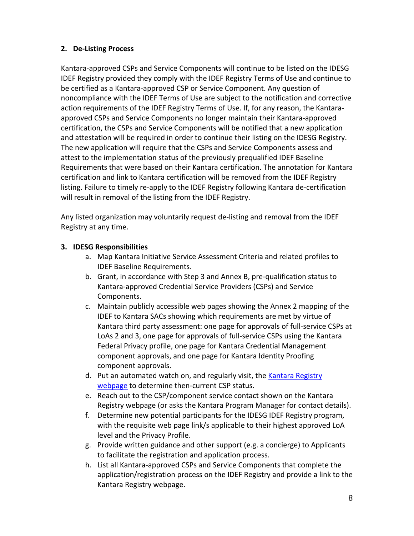# **2. De-Listing Process**

Kantara-approved CSPs and Service Components will continue to be listed on the IDESG IDEF Registry provided they comply with the IDEF Registry Terms of Use and continue to be certified as a Kantara-approved CSP or Service Component. Any question of noncompliance with the IDEF Terms of Use are subject to the notification and corrective action requirements of the IDEF Registry Terms of Use. If, for any reason, the Kantaraapproved CSPs and Service Components no longer maintain their Kantara-approved certification, the CSPs and Service Components will be notified that a new application and attestation will be required in order to continue their listing on the IDESG Registry. The new application will require that the CSPs and Service Components assess and attest to the implementation status of the previously prequalified IDEF Baseline Requirements that were based on their Kantara certification. The annotation for Kantara certification and link to Kantara certification will be removed from the IDEF Registry listing. Failure to timely re-apply to the IDEF Registry following Kantara de-certification will result in removal of the listing from the IDEF Registry.

Any listed organization may voluntarily request de-listing and removal from the IDEF Registry at any time.

# **3. IDESG Responsibilities**

- a. Map Kantara Initiative Service Assessment Criteria and related profiles to **IDEF Baseline Requirements.**
- b. Grant, in accordance with Step 3 and Annex B, pre-qualification status to Kantara-approved Credential Service Providers (CSPs) and Service Components.
- c. Maintain publicly accessible web pages showing the Annex 2 mapping of the IDEF to Kantara SACs showing which requirements are met by virtue of Kantara third party assessment: one page for approvals of full-service CSPs at LoAs 2 and 3, one page for approvals of full-service CSPs using the Kantara Federal Privacy profile, one page for Kantara Credential Management component approvals, and one page for Kantara Identity Proofing component approvals.
- d. Put an automated watch on, and regularly visit, the Kantara Registry webpage to determine then-current CSP status.
- e. Reach out to the CSP/component service contact shown on the Kantara Registry webpage (or asks the Kantara Program Manager for contact details).
- f. Determine new potential participants for the IDESG IDEF Registry program, with the requisite web page link/s applicable to their highest approved LoA level and the Privacy Profile.
- g. Provide written guidance and other support (e.g. a concierge) to Applicants to facilitate the registration and application process.
- h. List all Kantara-approved CSPs and Service Components that complete the application/registration process on the IDEF Registry and provide a link to the Kantara Registry webpage.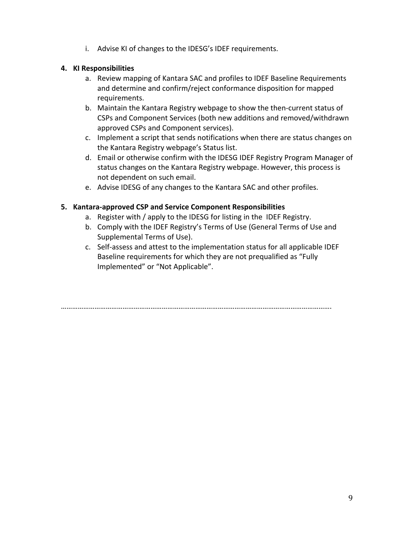i. Advise KI of changes to the IDESG's IDEF requirements.

# **4. KI Responsibilities**

- a. Review mapping of Kantara SAC and profiles to IDEF Baseline Requirements and determine and confirm/reject conformance disposition for mapped requirements.
- b. Maintain the Kantara Registry webpage to show the then-current status of CSPs and Component Services (both new additions and removed/withdrawn approved CSPs and Component services).
- c. Implement a script that sends notifications when there are status changes on the Kantara Registry webpage's Status list.
- d. Email or otherwise confirm with the IDESG IDEF Registry Program Manager of status changes on the Kantara Registry webpage. However, this process is not dependent on such email.
- e. Advise IDESG of any changes to the Kantara SAC and other profiles.

#### **5. Kantara-approved CSP and Service Component Responsibilities**

- a. Register with / apply to the IDESG for listing in the IDEF Registry.
- b. Comply with the IDEF Registry's Terms of Use (General Terms of Use and Supplemental Terms of Use).
- c. Self-assess and attest to the implementation status for all applicable IDEF Baseline requirements for which they are not prequalified as "Fully Implemented" or "Not Applicable".

……………………………………………………………………………………………………………………………….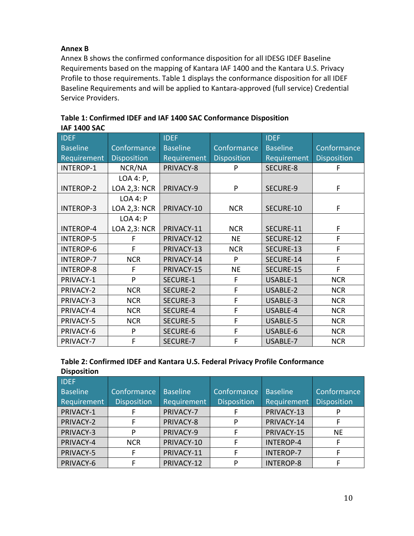# **Annex B**

Annex B shows the confirmed conformance disposition for all IDESG IDEF Baseline Requirements based on the mapping of Kantara IAF 1400 and the Kantara U.S. Privacy Profile to those requirements. Table 1 displays the conformance disposition for all IDEF Baseline Requirements and will be applied to Kantara-approved (full service) Credential Service Providers.

| <b>IDEF</b>      |                     | <b>IDEF</b>     |                    | <b>IDEF</b>     |                    |
|------------------|---------------------|-----------------|--------------------|-----------------|--------------------|
| <b>Baseline</b>  | Conformance         | <b>Baseline</b> | Conformance        | <b>Baseline</b> | Conformance        |
| Requirement      | <b>Disposition</b>  | Requirement     | <b>Disposition</b> | Requirement     | <b>Disposition</b> |
| <b>INTEROP-1</b> | NCR/NA              | PRIVACY-8       | P                  | SECURE-8        | F                  |
|                  | LOA 4: P,           |                 |                    |                 |                    |
| <b>INTEROP-2</b> | <b>LOA 2,3: NCR</b> | PRIVACY-9       | P                  | <b>SECURE-9</b> | F                  |
|                  | LOA 4: P            |                 |                    |                 |                    |
| <b>INTEROP-3</b> | LOA 2,3: NCR        | PRIVACY-10      | <b>NCR</b>         | SECURE-10       | F                  |
|                  | LOA 4: P            |                 |                    |                 |                    |
| <b>INTEROP-4</b> | LOA 2,3: NCR        | PRIVACY-11      | <b>NCR</b>         | SECURE-11       | F                  |
| <b>INTEROP-5</b> | F                   | PRIVACY-12      | <b>NE</b>          | SECURE-12       | F                  |
| <b>INTEROP-6</b> | F                   | PRIVACY-13      | <b>NCR</b>         | SECURE-13       | F                  |
| <b>INTEROP-7</b> | <b>NCR</b>          | PRIVACY-14      | P                  | SECURE-14       | F                  |
| <b>INTEROP-8</b> | F                   | PRIVACY-15      | <b>NE</b>          | SECURE-15       | F                  |
| PRIVACY-1        | P                   | SECURE-1        | F                  | USABLE-1        | <b>NCR</b>         |
| PRIVACY-2        | <b>NCR</b>          | SECURE-2        | F                  | USABLE-2        | <b>NCR</b>         |
| PRIVACY-3        | <b>NCR</b>          | SECURE-3        | F                  | USABLE-3        | <b>NCR</b>         |
| PRIVACY-4        | <b>NCR</b>          | SECURE-4        | F                  | USABLE-4        | <b>NCR</b>         |
| PRIVACY-5        | <b>NCR</b>          | <b>SECURE-5</b> | F                  | <b>USABLE-5</b> | <b>NCR</b>         |
| PRIVACY-6        | P                   | SECURE-6        | F                  | USABLE-6        | <b>NCR</b>         |
| PRIVACY-7        | F                   | SECURE-7        | F                  | USABLE-7        | <b>NCR</b>         |

| Table 1: Confirmed IDEF and IAF 1400 SAC Conformance Disposition |
|------------------------------------------------------------------|
| <b>IAF 1400 SAC</b>                                              |

| Table 2: Confirmed IDEF and Kantara U.S. Federal Privacy Profile Conformance |  |
|------------------------------------------------------------------------------|--|
| <b>Disposition</b>                                                           |  |

| <b>IDEF</b>     |                    |                 |                    |                  |                    |
|-----------------|--------------------|-----------------|--------------------|------------------|--------------------|
| <b>Baseline</b> | Conformance        | <b>Baseline</b> | Conformance        | <b>Baseline</b>  | Conformance        |
| Requirement     | <b>Disposition</b> | Requirement     | <b>Disposition</b> | Requirement      | <b>Disposition</b> |
| PRIVACY-1       |                    | PRIVACY-7       |                    | PRIVACY-13       |                    |
| PRIVACY-2       |                    | PRIVACY-8       | Þ                  | PRIVACY-14       |                    |
| PRIVACY-3       | P                  | PRIVACY-9       |                    | PRIVACY-15       | <b>NE</b>          |
| PRIVACY-4       | <b>NCR</b>         | PRIVACY-10      |                    | <b>INTEROP-4</b> |                    |
| PRIVACY-5       |                    | PRIVACY-11      |                    | <b>INTEROP-7</b> |                    |
| PRIVACY-6       |                    | PRIVACY-12      | D                  | <b>INTEROP-8</b> |                    |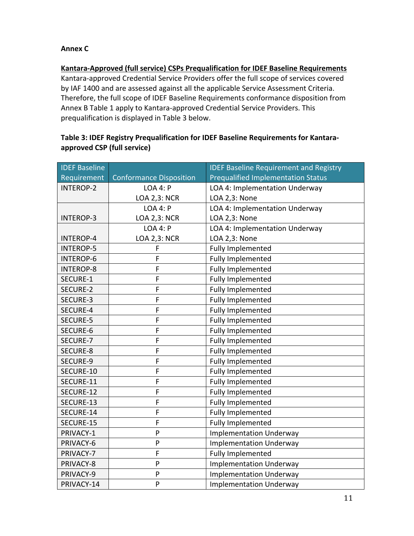## **Annex C**

#### **Kantara-Approved (full service) CSPs Prequalification for IDEF Baseline Requirements**

Kantara-approved Credential Service Providers offer the full scope of services covered by IAF 1400 and are assessed against all the applicable Service Assessment Criteria. Therefore, the full scope of IDEF Baseline Requirements conformance disposition from Annex B Table 1 apply to Kantara-approved Credential Service Providers. This prequalification is displayed in Table 3 below.

| <b>IDEF Baseline</b> |                                | <b>IDEF Baseline Requirement and Registry</b> |
|----------------------|--------------------------------|-----------------------------------------------|
| Requirement          | <b>Conformance Disposition</b> | <b>Prequalified Implementation Status</b>     |
| <b>INTEROP-2</b>     | <b>LOA 4: P</b>                | LOA 4: Implementation Underway                |
|                      | <b>LOA 2,3: NCR</b>            | LOA 2,3: None                                 |
|                      | <b>LOA 4: P</b>                | LOA 4: Implementation Underway                |
| <b>INTEROP-3</b>     | <b>LOA 2,3: NCR</b>            | LOA 2,3: None                                 |
|                      | <b>LOA 4: P</b>                | LOA 4: Implementation Underway                |
| <b>INTEROP-4</b>     | <b>LOA 2,3: NCR</b>            | LOA 2,3: None                                 |
| <b>INTEROP-5</b>     | F                              | <b>Fully Implemented</b>                      |
| <b>INTEROP-6</b>     | F                              | Fully Implemented                             |
| <b>INTEROP-8</b>     | F                              | Fully Implemented                             |
| SECURE-1             | F                              | <b>Fully Implemented</b>                      |
| SECURE-2             | F                              | Fully Implemented                             |
| SECURE-3             | F                              | Fully Implemented                             |
| SECURE-4             | F                              | <b>Fully Implemented</b>                      |
| SECURE-5             | F                              | <b>Fully Implemented</b>                      |
| SECURE-6             | F                              | Fully Implemented                             |
| SECURE-7             | F                              | <b>Fully Implemented</b>                      |
| SECURE-8             | F                              | <b>Fully Implemented</b>                      |
| SECURE-9             | F                              | Fully Implemented                             |
| SECURE-10            | F                              | <b>Fully Implemented</b>                      |
| SECURE-11            | F                              | <b>Fully Implemented</b>                      |
| SECURE-12            | F                              | Fully Implemented                             |
| SECURE-13            | F                              | <b>Fully Implemented</b>                      |
| SECURE-14            | F                              | Fully Implemented                             |
| SECURE-15            | F                              | <b>Fully Implemented</b>                      |
| PRIVACY-1            | ${\sf P}$                      | <b>Implementation Underway</b>                |
| PRIVACY-6            | ${\sf P}$                      | <b>Implementation Underway</b>                |
| PRIVACY-7            | F                              | <b>Fully Implemented</b>                      |
| PRIVACY-8            | P                              | <b>Implementation Underway</b>                |
| PRIVACY-9            | ${\sf P}$                      | <b>Implementation Underway</b>                |
| PRIVACY-14           | P                              | <b>Implementation Underway</b>                |

#### Table 3: IDEF Registry Prequalification for IDEF Baseline Requirements for Kantara**approved CSP (full service)**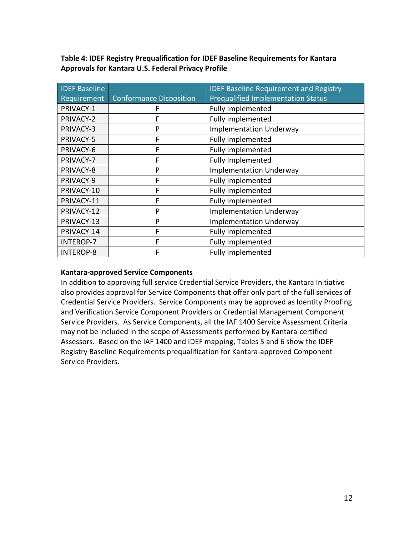| <b>IDEF Baseline</b> |                                | <b>IDEF Baseline Requirement and Registry</b> |
|----------------------|--------------------------------|-----------------------------------------------|
| Requirement          | <b>Conformance Disposition</b> | <b>Prequalified Implementation Status</b>     |
| PRIVACY-1            | F                              | <b>Fully Implemented</b>                      |
| PRIVACY-2            | F                              | <b>Fully Implemented</b>                      |
| PRIVACY-3            | P                              | <b>Implementation Underway</b>                |
| PRIVACY-5            | F                              | <b>Fully Implemented</b>                      |
| PRIVACY-6            | F                              | Fully Implemented                             |
| PRIVACY-7            | F                              | Fully Implemented                             |
| PRIVACY-8            | P                              | <b>Implementation Underway</b>                |
| PRIVACY-9            | F                              | <b>Fully Implemented</b>                      |
| PRIVACY-10           | F                              | Fully Implemented                             |
| PRIVACY-11           | F                              | Fully Implemented                             |
| PRIVACY-12           | P                              | <b>Implementation Underway</b>                |
| PRIVACY-13           | P                              | <b>Implementation Underway</b>                |
| PRIVACY-14           | F                              | <b>Fully Implemented</b>                      |
| <b>INTEROP-7</b>     | F                              | Fully Implemented                             |
| <b>INTEROP-8</b>     | F                              | <b>Fully Implemented</b>                      |

Table 4: IDEF Registry Prequalification for IDEF Baseline Requirements for Kantara **Approvals for Kantara U.S. Federal Privacy Profile** 

# **Kantara-approved Service Components**

In addition to approving full service Credential Service Providers, the Kantara Initiative also provides approval for Service Components that offer only part of the full services of Credential Service Providers. Service Components may be approved as Identity Proofing and Verification Service Component Providers or Credential Management Component Service Providers. As Service Components, all the IAF 1400 Service Assessment Criteria may not be included in the scope of Assessments performed by Kantara-certified Assessors. Based on the IAF 1400 and IDEF mapping, Tables 5 and 6 show the IDEF Registry Baseline Requirements prequalification for Kantara-approved Component Service Providers.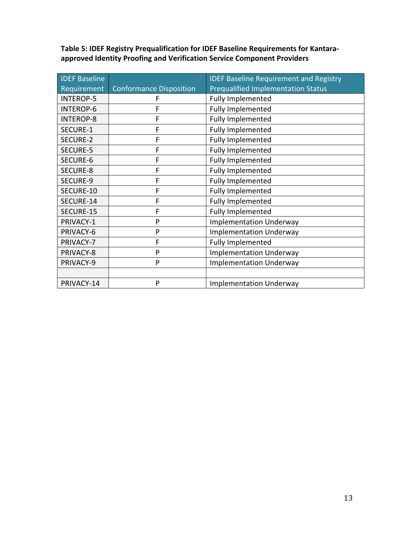| <b>IDEF Baseline</b> |                                | <b>IDEF Baseline Requirement and Registry</b> |
|----------------------|--------------------------------|-----------------------------------------------|
| Requirement          | <b>Conformance Disposition</b> | <b>Prequalified Implementation Status</b>     |
| <b>INTEROP-5</b>     | F                              | Fully Implemented                             |
| <b>INTEROP-6</b>     | F                              | Fully Implemented                             |
| <b>INTEROP-8</b>     | F                              | Fully Implemented                             |
| SECURE-1             | F                              | Fully Implemented                             |
| <b>SECURE-2</b>      | F                              | Fully Implemented                             |
| <b>SECURE-5</b>      | F                              | Fully Implemented                             |
| SECURE-6             | F                              | Fully Implemented                             |
| SECURE-8             | F                              | Fully Implemented                             |
| SECURE-9             | F                              | Fully Implemented                             |
| SECURE-10            | F                              | Fully Implemented                             |
| SECURE-14            | F                              | Fully Implemented                             |
| SECURE-15            | F                              | Fully Implemented                             |
| PRIVACY-1            | P                              | <b>Implementation Underway</b>                |
| PRIVACY-6            | P                              | <b>Implementation Underway</b>                |
| PRIVACY-7            | F                              | Fully Implemented                             |
| PRIVACY-8            | P                              | <b>Implementation Underway</b>                |
| PRIVACY-9            | P                              | <b>Implementation Underway</b>                |
|                      |                                |                                               |
| PRIVACY-14           | P                              | <b>Implementation Underway</b>                |

Table 5: IDEF Registry Prequalification for IDEF Baseline Requirements for Kantara**approved Identity Proofing and Verification Service Component Providers**